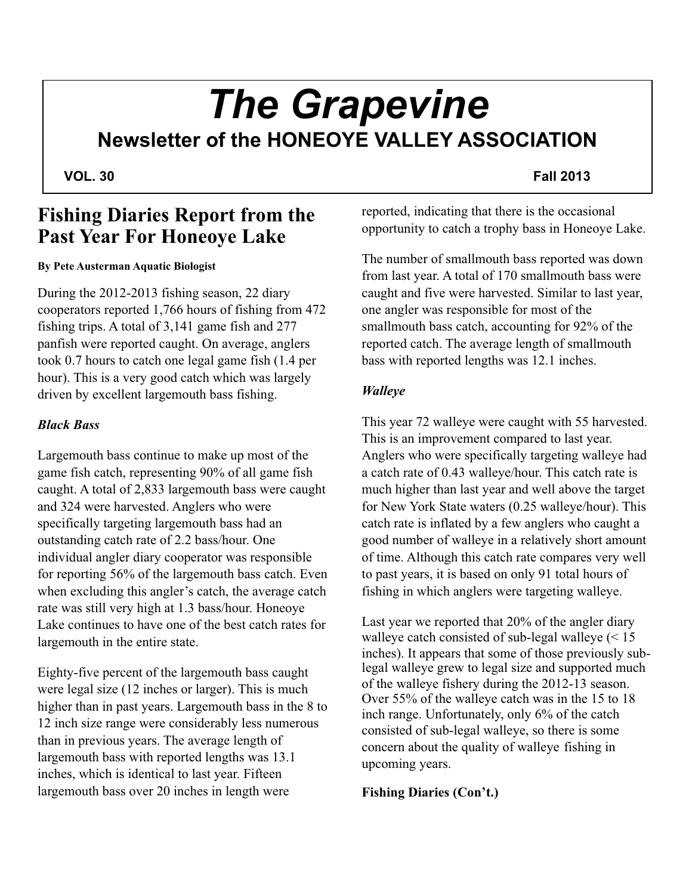## *The Grapevine* **Newsletter of the HONEOYE VALLEY ASSOCIATION**

#### **VOL. 30** Fall 2013

### **Fishing Diaries Report from the Past Year For Honeoye Lake**

#### **By Pete Austerman Aquatic Biologist**

During the 2012-2013 fishing season, 22 diary cooperators reported 1,766 hours of fishing from 472 fishing trips. A total of 3,141 game fish and 277 panfish were reported caught. On average, anglers took 0.7 hours to catch one legal game fish (1.4 per hour). This is a very good catch which was largely driven by excellent largemouth bass fishing.

#### *Black Bass*

Largemouth bass continue to make up most of the game fish catch, representing 90% of all game fish caught. A total of 2,833 largemouth bass were caught and 324 were harvested. Anglers who were specifically targeting largemouth bass had an outstanding catch rate of 2.2 bass/hour. One individual angler diary cooperator was responsible for reporting 56% of the largemouth bass catch. Even when excluding this angler's catch, the average catch rate was still very high at 1.3 bass/hour. Honeoye Lake continues to have one of the best catch rates for largemouth in the entire state.

Eighty-five percent of the largemouth bass caught were legal size (12 inches or larger). This is much higher than in past years. Largemouth bass in the 8 to 12 inch size range were considerably less numerous than in previous years. The average length of largemouth bass with reported lengths was 13.1 inches, which is identical to last year. Fifteen largemouth bass over 20 inches in length were

reported, indicating that there is the occasional opportunity to catch a trophy bass in Honeoye Lake.

The number of smallmouth bass reported was down from last year. A total of 170 smallmouth bass were caught and five were harvested. Similar to last year, one angler was responsible for most of the smallmouth bass catch, accounting for 92% of the reported catch. The average length of smallmouth bass with reported lengths was 12.1 inches.

#### *Walleye*

This year 72 walleye were caught with 55 harvested. This is an improvement compared to last year. Anglers who were specifically targeting walleye had a catch rate of 0.43 walleye/hour. This catch rate is much higher than last year and well above the target for New York State waters (0.25 walleye/hour). This catch rate is inflated by a few anglers who caught a good number of walleye in a relatively short amount of time. Although this catch rate compares very well to past years, it is based on only 91 total hours of fishing in which anglers were targeting walleye.

Last year we reported that 20% of the angler diary walleye catch consisted of sub-legal walleye (< 15 inches). It appears that some of those previously sublegal walleye grew to legal size and supported much of the walleye fishery during the 2012-13 season. Over 55% of the walleye catch was in the 15 to 18 inch range. Unfortunately, only 6% of the catch consisted of sub-legal walleye, so there is some concern about the quality of walleye fishing in upcoming years.

### **Fishing Diaries (Con't.)**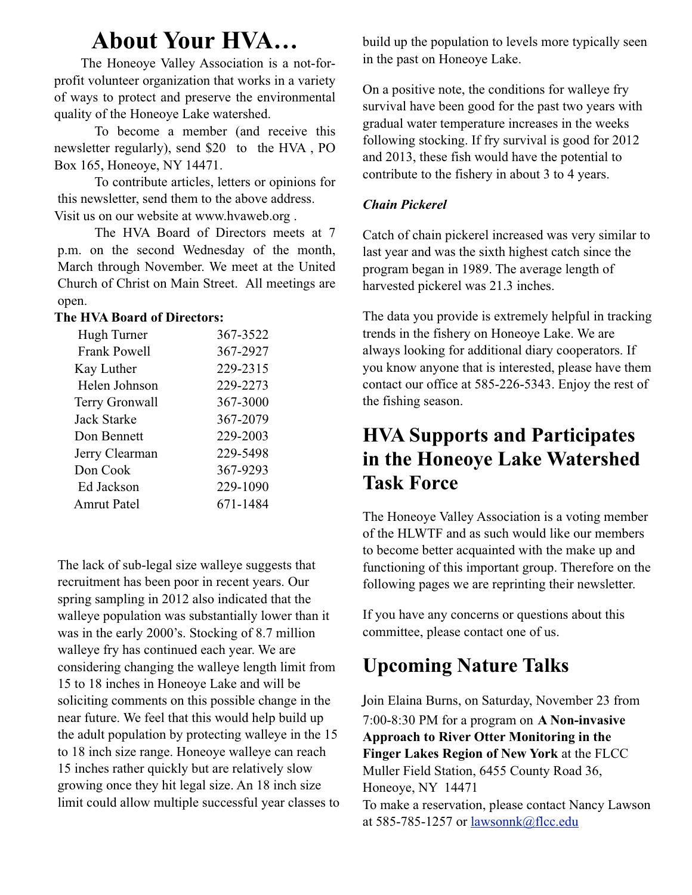## **About Your HVA…**

 The Honeoye Valley Association is a not-forprofit volunteer organization that works in a variety of ways to protect and preserve the environmental quality of the Honeoye Lake watershed.

 To become a member (and receive this newsletter regularly), send \$20 to the HVA , PO Box 165, Honeoye, NY 14471.

 To contribute articles, letters or opinions for this newsletter, send them to the above address. Visit us on our website at www.hvaweb.org .

 The HVA Board of Directors meets at 7 p.m. on the second Wednesday of the month, March through November. We meet at the United Church of Christ on Main Street. All meetings are open.

#### **The HVA Board of Directors:**

| Hugh Turner         | 367-3522 |
|---------------------|----------|
| <b>Frank Powell</b> | 367-2927 |
| Kay Luther          | 229-2315 |
| Helen Johnson       | 229-2273 |
| Terry Gronwall      | 367-3000 |
| Jack Starke         | 367-2079 |
| Don Bennett         | 229-2003 |
| Jerry Clearman      | 229-5498 |
| Don Cook            | 367-9293 |
| Ed Jackson          | 229-1090 |
| <b>Amrut Patel</b>  | 671-1484 |

The lack of sub-legal size walleye suggests that recruitment has been poor in recent years. Our spring sampling in 2012 also indicated that the walleye population was substantially lower than it was in the early 2000's. Stocking of 8.7 million walleye fry has continued each year. We are considering changing the walleye length limit from 15 to 18 inches in Honeoye Lake and will be soliciting comments on this possible change in the near future. We feel that this would help build up the adult population by protecting walleye in the 15 to 18 inch size range. Honeoye walleye can reach 15 inches rather quickly but are relatively slow growing once they hit legal size. An 18 inch size limit could allow multiple successful year classes to build up the population to levels more typically seen in the past on Honeoye Lake.

On a positive note, the conditions for walleye fry survival have been good for the past two years with gradual water temperature increases in the weeks following stocking. If fry survival is good for 2012 and 2013, these fish would have the potential to contribute to the fishery in about 3 to 4 years.

#### *Chain Pickerel*

Catch of chain pickerel increased was very similar to last year and was the sixth highest catch since the program began in 1989. The average length of harvested pickerel was 21.3 inches.

The data you provide is extremely helpful in tracking trends in the fishery on Honeoye Lake. We are always looking for additional diary cooperators. If you know anyone that is interested, please have them contact our office at 585-226-5343. Enjoy the rest of the fishing season.

### **HVA Supports and Participates in the Honeoye Lake Watershed Task Force**

The Honeoye Valley Association is a voting member of the HLWTF and as such would like our members to become better acquainted with the make up and functioning of this important group. Therefore on the following pages we are reprinting their newsletter.

If you have any concerns or questions about this committee, please contact one of us.

### **Upcoming Nature Talks**

Join Elaina Burns, on Saturday, November 23 from 7:00-8:30 PM for a program on **A Non-invasive Approach to River Otter Monitoring in the Finger Lakes Region of New York** at the FLCC Muller Field Station, 6455 County Road 36, Honeoye, NY 14471 To make a reservation, please contact Nancy Lawson at 585-785-1257 or lawsonnk@flcc.edu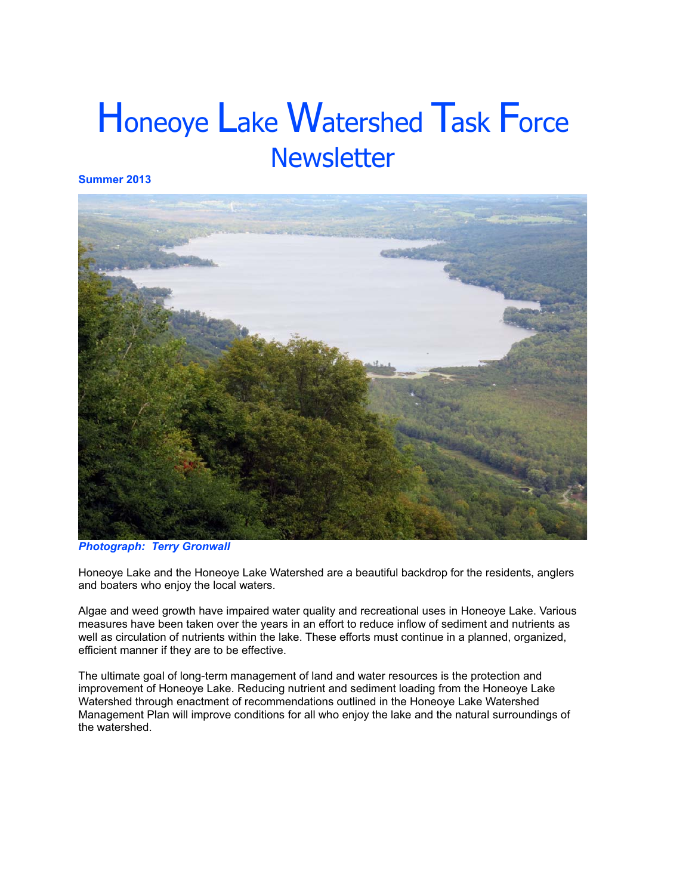# Honeoye Lake Watershed Task Force **Newsletter**

Summer 2013



**Photograph: Terry Gronwall** 

Honeoye Lake and the Honeoye Lake Watershed are a beautiful backdrop for the residents, anglers and boaters who enjoy the local waters.

Algae and weed growth have impaired water quality and recreational uses in Honeoye Lake. Various measures have been taken over the years in an effort to reduce inflow of sediment and nutrients as well as circulation of nutrients within the lake. These efforts must continue in a planned, organized, efficient manner if they are to be effective.

The ultimate goal of long-term management of land and water resources is the protection and improvement of Honeoye Lake. Reducing nutrient and sediment loading from the Honeoye Lake Watershed through enactment of recommendations outlined in the Honeoye Lake Watershed Management Plan will improve conditions for all who enjoy the lake and the natural surroundings of the watershed.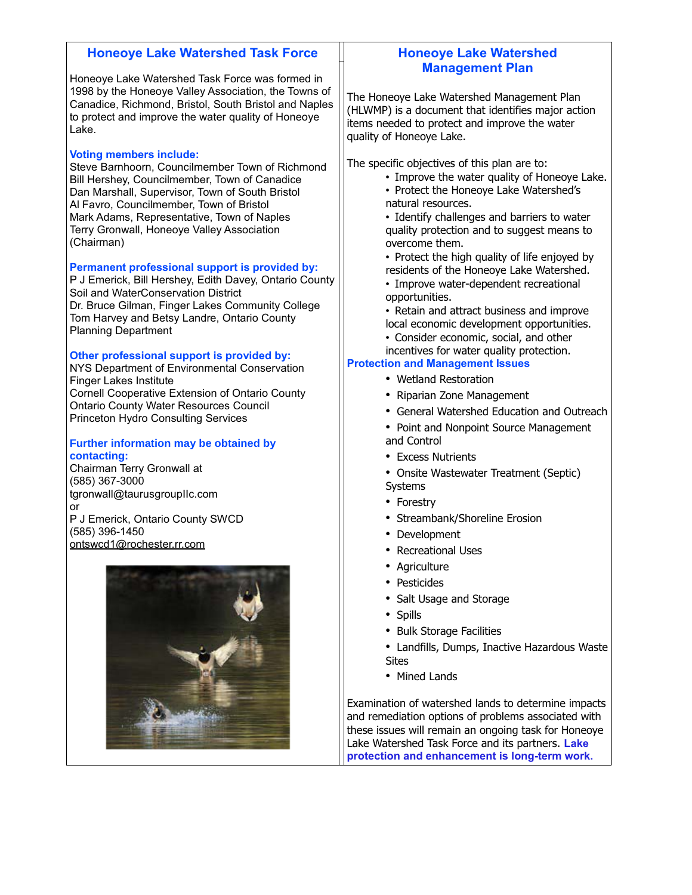| <b>Honeoye Lake Watershed Task Force</b>                                                                                                                                                                                                                                                                                                    | <b>Honeoye Lake Watershed</b>                                                                                                                                                                                                                                                                                                |
|---------------------------------------------------------------------------------------------------------------------------------------------------------------------------------------------------------------------------------------------------------------------------------------------------------------------------------------------|------------------------------------------------------------------------------------------------------------------------------------------------------------------------------------------------------------------------------------------------------------------------------------------------------------------------------|
| Honeoye Lake Watershed Task Force was formed in<br>1998 by the Honeoye Valley Association, the Towns of<br>Canadice, Richmond, Bristol, South Bristol and Naples<br>to protect and improve the water quality of Honeoye<br>Lake.                                                                                                            | <b>Management Plan</b><br>The Honeoye Lake Watershed Management Plan<br>(HLWMP) is a document that identifies major action<br>items needed to protect and improve the water<br>quality of Honeoye Lake.                                                                                                                      |
| <b>Voting members include:</b><br>Steve Barnhoorn, Councilmember Town of Richmond<br>Bill Hershey, Councilmember, Town of Canadice<br>Dan Marshall, Supervisor, Town of South Bristol<br>Al Favro, Councilmember, Town of Bristol<br>Mark Adams, Representative, Town of Naples<br>Terry Gronwall, Honeoye Valley Association<br>(Chairman) | The specific objectives of this plan are to:<br>• Improve the water quality of Honeoye Lake.<br>• Protect the Honeoye Lake Watershed's<br>natural resources.<br>• Identify challenges and barriers to water<br>quality protection and to suggest means to<br>overcome them.<br>• Protect the high quality of life enjoyed by |
| Permanent professional support is provided by:<br>P J Emerick, Bill Hershey, Edith Davey, Ontario County<br>Soil and WaterConservation District<br>Dr. Bruce Gilman, Finger Lakes Community College<br>Tom Harvey and Betsy Landre, Ontario County<br><b>Planning Department</b>                                                            | residents of the Honeoye Lake Watershed.<br>• Improve water-dependent recreational<br>opportunities.<br>• Retain and attract business and improve<br>local economic development opportunities.<br>• Consider economic, social, and other                                                                                     |
| Other professional support is provided by:<br>NYS Department of Environmental Conservation<br><b>Finger Lakes Institute</b><br>Cornell Cooperative Extension of Ontario County<br><b>Ontario County Water Resources Council</b><br><b>Princeton Hydro Consulting Services</b>                                                               | incentives for water quality protection.<br><b>Protection and Management Issues</b><br>• Wetland Restoration<br>• Riparian Zone Management<br>• General Watershed Education and Outreach                                                                                                                                     |
| <b>Further information may be obtained by</b><br>contacting:<br>Chairman Terry Gronwall at<br>(585) 367-3000<br>tgronwall@taurusgroupIIc.com<br>or                                                                                                                                                                                          | • Point and Nonpoint Source Management<br>and Control<br>• Excess Nutrients<br>• Onsite Wastewater Treatment (Septic)<br>Systems<br>Forestry<br>٠                                                                                                                                                                            |
| P J Emerick, Ontario County SWCD<br>(585) 396-1450<br>ontswcd1@rochester.rr.com                                                                                                                                                                                                                                                             | Streambank/Shoreline Erosion<br>• Development<br><b>Recreational Uses</b><br>Agriculture                                                                                                                                                                                                                                     |
|                                                                                                                                                                                                                                                                                                                                             | Pesticides<br>Salt Usage and Storage<br><b>Spills</b><br><b>Bulk Storage Facilities</b><br>Landfills, Dumps, Inactive Hazardous Waste<br><b>Sites</b>                                                                                                                                                                        |
|                                                                                                                                                                                                                                                                                                                                             | • Mined Lands<br>Examination of watershed lands to determine impacts<br>and remediation options of problems associated with<br>these issues will remain an ongoing task for Honeoye<br>Lake Watershed Task Force and its partners. Lake<br>protection and enhancement is long-term work.                                     |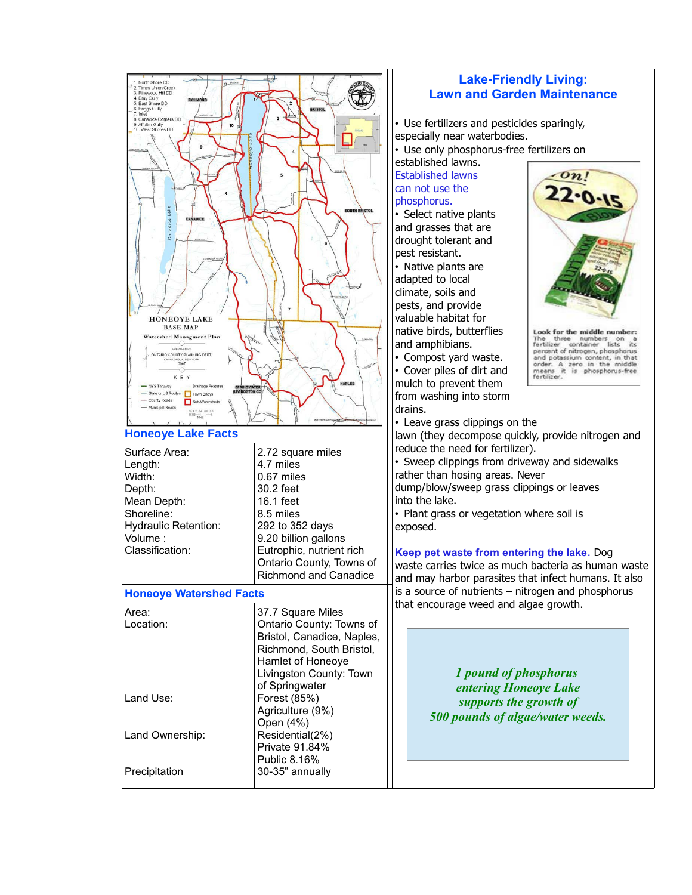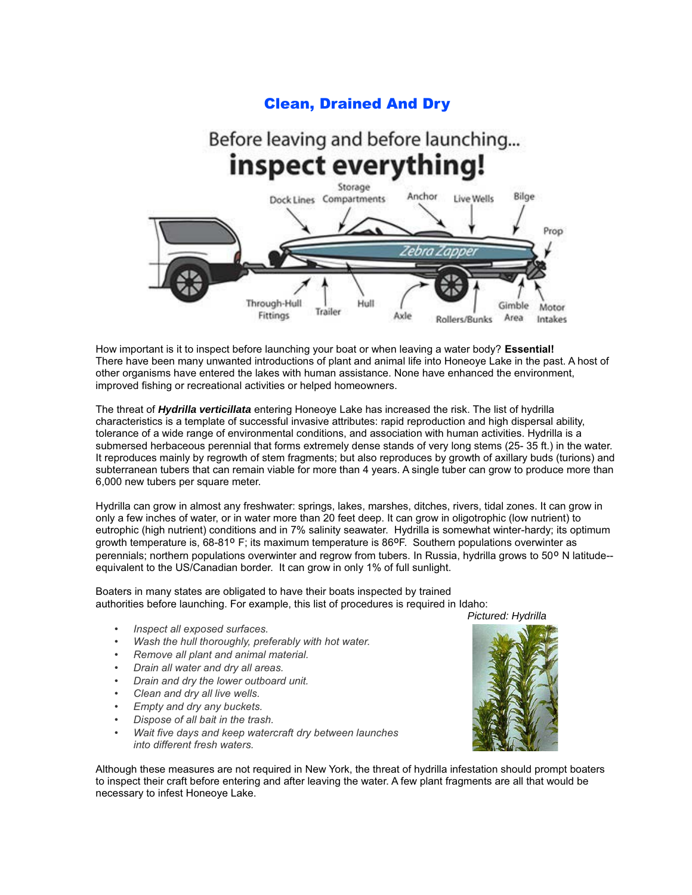### **Clean, Drained And Dry**

#### Before leaving and before launching... inspect everything! Storage Dock Lines Compartments Anchor **Live Wells** Bilge Prop ehrn Through-Hull Hull Gimble Motor Trailer Fittings Axle Area Rollers/Bunks Intakes

How important is it to inspect before launching your boat or when leaving a water body? Essential! There have been many unwanted introductions of plant and animal life into Honeoye Lake in the past. A host of other organisms have entered the lakes with human assistance. None have enhanced the environment, improved fishing or recreational activities or helped homeowners.

The threat of Hydrilla verticillata entering Honeoye Lake has increased the risk. The list of hydrilla characteristics is a template of successful invasive attributes: rapid reproduction and high dispersal ability, tolerance of a wide range of environmental conditions, and association with human activities. Hydrilla is a submersed herbaceous perennial that forms extremely dense stands of very long stems (25-35 ft.) in the water. It reproduces mainly by regrowth of stem fragments; but also reproduces by growth of axillary buds (turions) and subterranean tubers that can remain viable for more than 4 years. A single tuber can grow to produce more than 6,000 new tubers per square meter.

Hydrilla can grow in almost any freshwater: springs, lakes, marshes, ditches, rivers, tidal zones. It can grow in only a few inches of water, or in water more than 20 feet deep. It can grow in oligotrophic (low nutrient) to eutrophic (high nutrient) conditions and in 7% salinity seawater. Hydrilla is somewhat winter-hardy; its optimum growth temperature is,  $68-81^{\circ}$  F; its maximum temperature is  $86^{\circ}$ F. Southern populations overwinter as perennials: northern populations overwinter and regrow from tubers. In Russia, hydrilla grows to 50° N latitude-equivalent to the US/Canadian border. It can grow in only 1% of full sunlight.

Boaters in many states are obligated to have their boats inspected by trained authorities before launching. For example, this list of procedures is required in Idaho:

- Inspect all exposed surfaces.  $\bullet$
- Wash the hull thoroughly, preferably with hot water.
- Remove all plant and animal material.
- Drain all water and dry all areas.
- Drain and dry the lower outboard unit.
- Clean and dry all live wells.
- Empty and dry any buckets.
- Dispose of all bait in the trash.
- Wait five days and keep watercraft dry between launches into different fresh waters.

Although these measures are not required in New York, the threat of hydrilla infestation should prompt boaters to inspect their craft before entering and after leaving the water. A few plant fragments are all that would be necessary to infest Honeoye Lake.

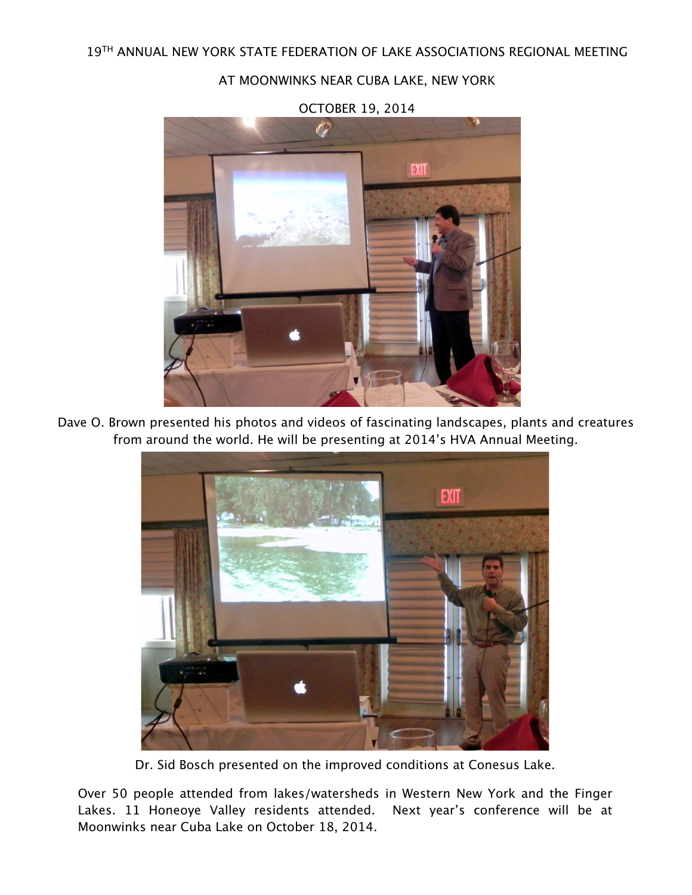AT MOONWINKS NEAR CUBA LAKE, NEW YORK



OCTOBER 19, 2014

Dave O. Brown presented his photos and videos of fascinating landscapes, plants and creatures from around the world. He will be presenting at 2014's HVA Annual Meeting.



Dr. Sid Bosch presented on the improved conditions at Conesus Lake.

Over 50 people attended from lakes/watersheds in Western New York and the Finger Lakes. 11 Honeoye Valley residents attended. Next year's conference will be at Moonwinks near Cuba Lake on October 18, 2014.